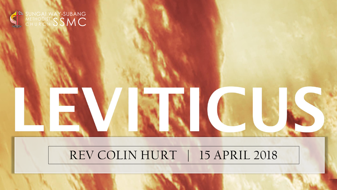

#### REV COLIN HURT | 15 APRIL 2018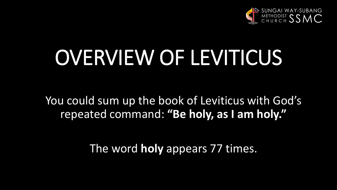

# OVERVIEW OF LEVITICUS

You could sum up the book of Leviticus with God's repeated command: **"Be holy, as I am holy."**

The word **holy** appears 77 times.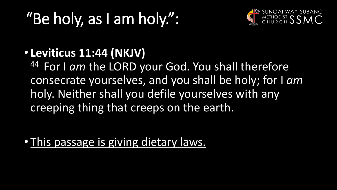# "Be holy, as I am holy.":



#### • **Leviticus 11:44 (NKJV)**

44 For I am the LORD your God. You shall therefore consecrate yourselves, and you shall be holy; for I *am* holy. Neither shall you defile yourselves with any creeping thing that creeps on the earth.

• This passage is giving dietary laws.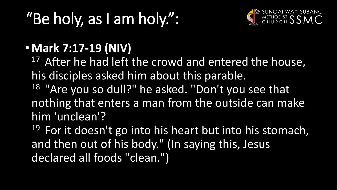# "Be holy, as I am holy.":



#### • **Mark 7:17-19 (NIV)**

<sup>17</sup> After he had left the crowd and entered the house, his disciples asked him about this parable. <sup>18</sup> "Are you so dull?" he asked. "Don't you see that nothing that enters a man from the outside can make him 'unclean'?

 $19$  For it doesn't go into his heart but into his stomach, and then out of his body." (In saying this, Jesus declared all foods "clean.")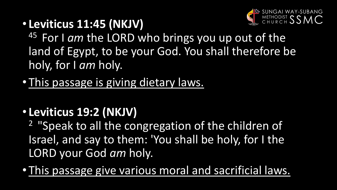

• **Leviticus 11:45 (NKJV)** 

45 For I am the LORD who brings you up out of the land of Egypt, to be your God. You shall therefore be holy, for I *am* holy.

• This passage is giving dietary laws.

### • **Leviticus 19:2 (NKJV)**

<sup>2</sup> "Speak to all the congregation of the children of Israel, and say to them: 'You shall be holy, for I the LORD your God *am* holy.

• This passage give various moral and sacrificial laws.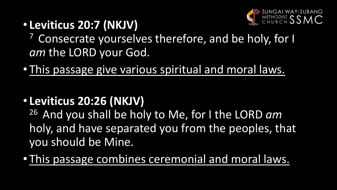

• **Leviticus 20:7 (NKJV)** 

<sup>7</sup> Consecrate yourselves therefore, and be holy, for I *am* the LORD your God.

- This passage give various spiritual and moral laws.
- **Leviticus 20:26 (NKJV)**

<sup>26</sup> And you shall be holy to Me, for I the LORD am holy, and have separated you from the peoples, that you should be Mine.

• This passage combines ceremonial and moral laws.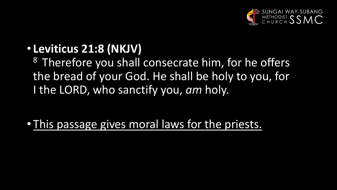

#### • **Leviticus 21:8 (NKJV)**

<sup>8</sup> Therefore you shall consecrate him, for he offers the bread of your God. He shall be holy to you, for I the LORD, who sanctify you, *am* holy.

• This passage gives moral laws for the priests.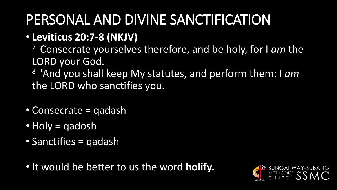# PERSONAL AND DIVINE SANCTIFICATION

- **Leviticus 20:7-8 (NKJV)** 
	- <sup>7</sup>Consecrate yourselves therefore, and be holy, for I *am* the LORD your God.
	- <sup>8</sup>'And you shall keep My statutes, and perform them: I *am* the LORD who sanctifies you.
- Consecrate = qadash
- Holy = qadosh
- Sanctifies = qadash
- It would be better to us the word **holify.**

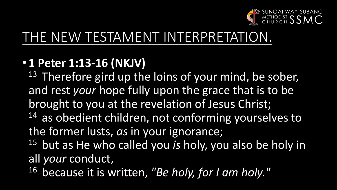

### THE NEW TESTAMENT INTERPRETATION.

#### • **1 Peter 1:13-16 (NKJV)**

<sup>13</sup> Therefore gird up the loins of your mind, be sober, and rest *your* hope fully upon the grace that is to be brought to you at the revelation of Jesus Christ; 14 as obedient children, not conforming yourselves to the former lusts, *as* in your ignorance;

- <sup>15</sup> but as He who called you *is* holy, you also be holy in all *your* conduct,
- <sup>16</sup> because it is written, "Be holy, for I am holy."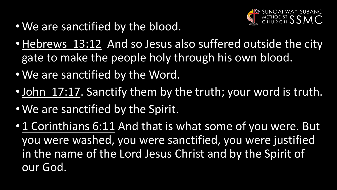

- We are sanctified by the blood.
- •Hebrews 13:12 And so Jesus also suffered outside the city gate to make the people holy through his own blood.
- We are sanctified by the Word.
- •John 17:17. Sanctify them by the truth; your word is truth.
- We are sanctified by the Spirit.
- 1 Corinthians 6:11 And that is what some of you were. But you were washed, you were sanctified, you were justified in the name of the Lord Jesus Christ and by the Spirit of our God.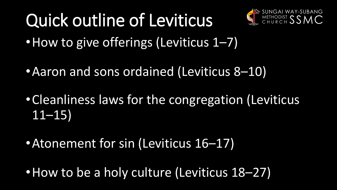# Quick outline of Leviticus



- How to give offerings (Leviticus 1–7)
- •Aaron and sons ordained (Leviticus 8–10)
- •Cleanliness laws for the congregation (Leviticus  $11 - 15$
- •Atonement for sin (Leviticus 16–17)
- How to be a holy culture (Leviticus 18–27)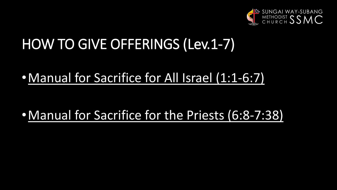

### HOW TO GIVE OFFERINGS (Lev.1-7)

#### •Manual for Sacrifice for All Israel (1:1-6:7)

#### •Manual for Sacrifice for the Priests (6:8-7:38)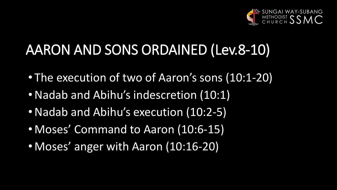

# AARON AND SONS ORDAINED (Lev.8-10)

- The execution of two of Aaron's sons (10:1-20)
- •Nadab and Abihu's indescretion (10:1)
- •Nadab and Abihu's execution (10:2-5)
- Moses' Command to Aaron (10:6-15)
- Moses' anger with Aaron (10:16-20)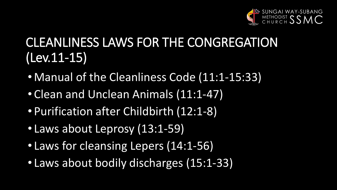

### CLEANLINESS LAWS FOR THE CONGREGATION (Lev.11-15)

- Manual of the Cleanliness Code (11:1-15:33)
- Clean and Unclean Animals (11:1-47)
- Purification after Childbirth (12:1-8)
- Laws about Leprosy (13:1-59)
- Laws for cleansing Lepers (14:1-56)
- Laws about bodily discharges (15:1-33)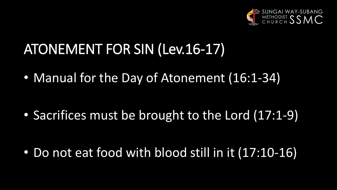

# ATONEMENT FOR SIN (Lev.16-17)

• Manual for the Day of Atonement (16:1-34)

• Sacrifices must be brought to the Lord (17:1-9)

• Do not eat food with blood still in it (17:10-16)